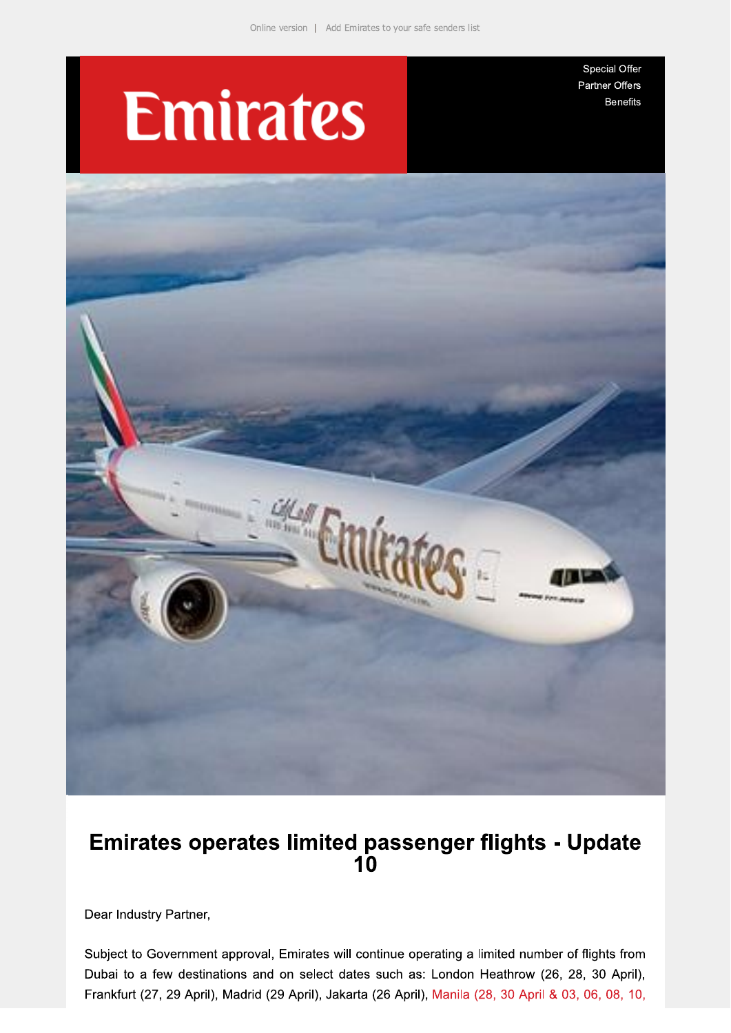# **Emirates**

Special Offer Partner Offers **Benefits** 



## Emirates operates limited passenger flights - Update  $10$

Dear Industry Partner,

Subject to Government approval, Emirates will continue operating a limited number of flights from Dubai to a few destinations and on select dates such as: London Heathrow (26, 28, 30 April), Frankfurt (27, 29 April), Madrid (29 April), Jakarta (26 April), Manila (28, 30 April & 03, 06, 08, 10,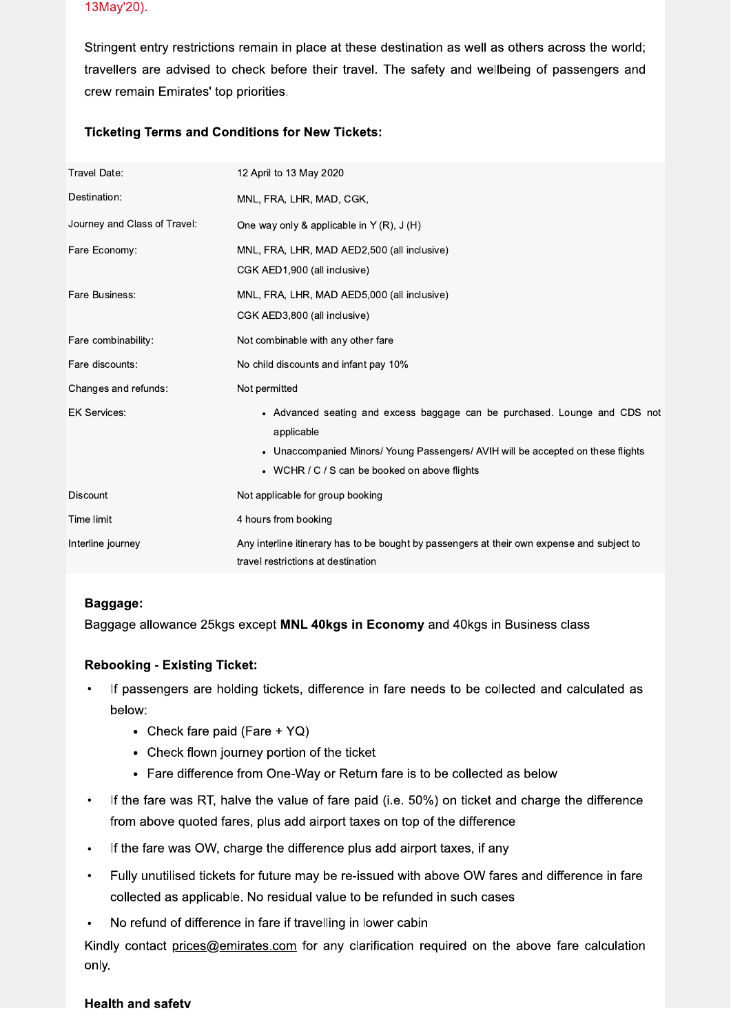#### 13May'20).

Stringent entry restrictions remain in place at these destination as well as others across the world; travellers are advised to check before their travel. The safety and wellbeing of passengers and crew remain Emirates' top priorities.

### **Ticketing Terms and Conditions for New Tickets:**

| Travel Date:                 | 12 April to 13 May 2020                                                                                                                                                                                                                  |
|------------------------------|------------------------------------------------------------------------------------------------------------------------------------------------------------------------------------------------------------------------------------------|
| Destination:                 | MNL, FRA, LHR, MAD, CGK,                                                                                                                                                                                                                 |
| Journey and Class of Travel: | One way only & applicable in Y $(R)$ , J $(H)$                                                                                                                                                                                           |
| Fare Economy:                | MNL, FRA, LHR, MAD AED2,500 (all inclusive)<br>CGK AED1,900 (all inclusive)                                                                                                                                                              |
| Fare Business:               | MNL, FRA, LHR, MAD AED5,000 (all inclusive)<br>CGK AED3,800 (all inclusive)                                                                                                                                                              |
| Fare combinability:          | Not combinable with any other fare                                                                                                                                                                                                       |
| Fare discounts:              | No child discounts and infant pay 10%                                                                                                                                                                                                    |
| Changes and refunds:         | Not permitted                                                                                                                                                                                                                            |
| <b>EK Services:</b>          | • Advanced seating and excess baggage can be purchased. Lounge and CDS not<br>applicable<br>Unaccompanied Minors/ Young Passengers/ AVIH will be accepted on these flights<br>$\bullet$<br>• WCHR / C / S can be booked on above flights |
| <b>Discount</b>              | Not applicable for group booking                                                                                                                                                                                                         |
| Time limit                   | 4 hours from booking                                                                                                                                                                                                                     |
| Interline journey            | Any interline itinerary has to be bought by passengers at their own expense and subject to<br>travel restrictions at destination                                                                                                         |

#### Baggage:

Baggage allowance 25kgs except MNL 40kgs in Economy and 40kgs in Business class

#### **Rebooking - Existing Ticket:**

- If passengers are holding tickets, difference in fare needs to be collected and calculated as below:
	- Check fare paid (Fare +  $YQ$ )
	- Check flown journey portion of the ticket
	- Fare difference from One-Way or Return fare is to be collected as below
- If the fare was RT, halve the value of fare paid (i.e. 50%) on ticket and charge the difference from above quoted fares, plus add airport taxes on top of the difference
- If the fare was OW, charge the difference plus add airport taxes, if any  $\bullet$
- Fully unutilised tickets for future may be re-issued with above OW fares and difference in fare  $\bullet$ collected as applicable. No residual value to be refunded in such cases
- No refund of difference in fare if travelling in lower cabin

Kindly contact prices@emirates.com for any clarification required on the above fare calculation only.

#### **Health and safety**